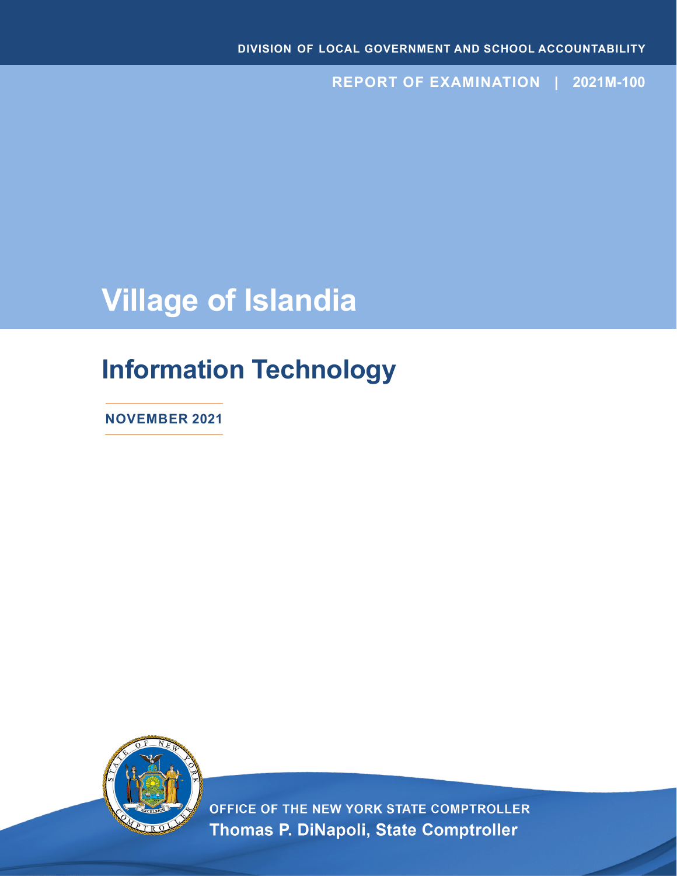**REPORT OF EXAMINATION | 2021M-100**

# **Village of Islandia**

## **Information Technology**

**NOVEMBER 2021**



OFFICE OF THE NEW YORK STATE COMPTROLLER Thomas P. DiNapoli, State Comptroller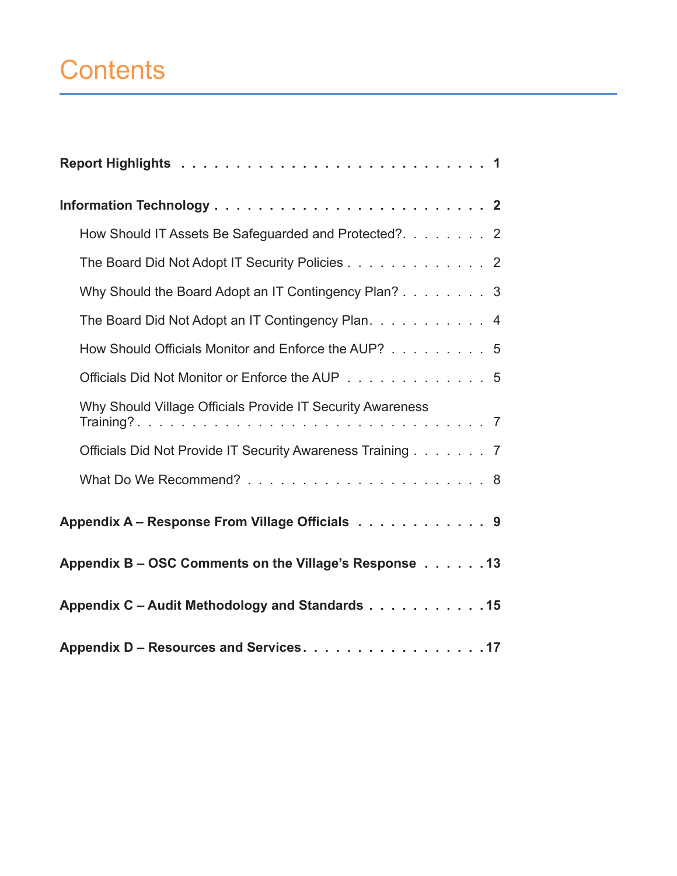# **Contents**

| How Should IT Assets Be Safeguarded and Protected?. 2      |
|------------------------------------------------------------|
| The Board Did Not Adopt IT Security Policies 2             |
| Why Should the Board Adopt an IT Contingency Plan? 3       |
| The Board Did Not Adopt an IT Contingency Plan. 4          |
| How Should Officials Monitor and Enforce the AUP? 5        |
| Officials Did Not Monitor or Enforce the AUP 5             |
| Why Should Village Officials Provide IT Security Awareness |
| Officials Did Not Provide IT Security Awareness Training 7 |
|                                                            |
| Appendix A - Response From Village Officials 9             |
| Appendix B – OSC Comments on the Village's Response 13     |
| Appendix C - Audit Methodology and Standards 15            |
| Appendix D - Resources and Services. 17                    |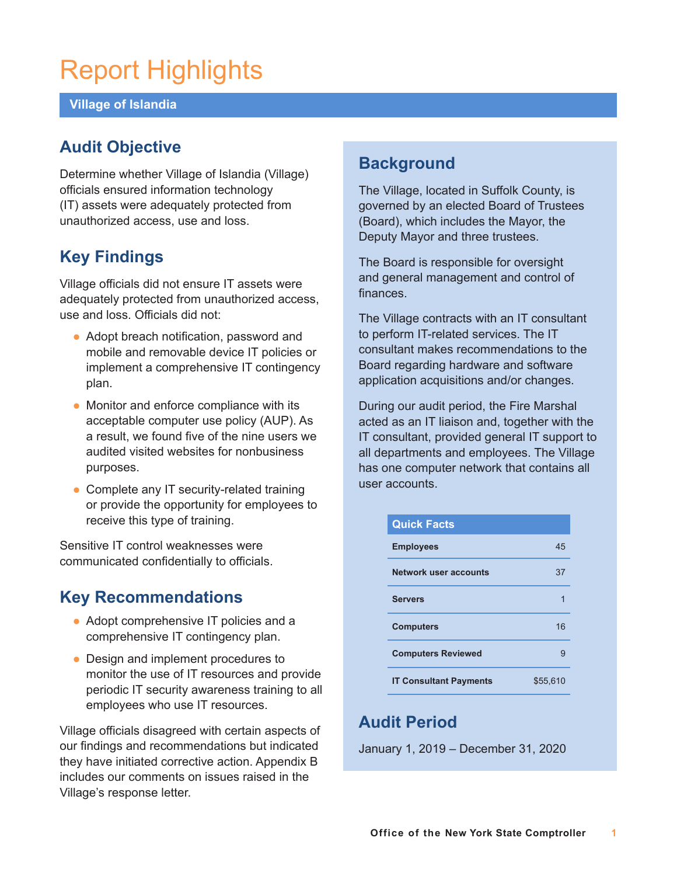# Report Highlights

### **Village of Islandia**

## **Audit Objective**

Determine whether Village of Islandia (Village) officials ensured information technology (IT) assets were adequately protected from unauthorized access, use and loss.

## **Key Findings**

Village officials did not ensure IT assets were adequately protected from unauthorized access, use and loss. Officials did not:

- Adopt breach notification, password and mobile and removable device IT policies or implement a comprehensive IT contingency plan.
- Monitor and enforce compliance with its acceptable computer use policy (AUP). As a result, we found five of the nine users we audited visited websites for nonbusiness purposes.
- Complete any IT security-related training or provide the opportunity for employees to receive this type of training.

Sensitive IT control weaknesses were communicated confidentially to officials.

## **Key Recommendations**

- Adopt comprehensive IT policies and a comprehensive IT contingency plan.
- Design and implement procedures to monitor the use of IT resources and provide periodic IT security awareness training to all employees who use IT resources.

Village officials disagreed with certain aspects of our findings and recommendations but indicated they have initiated corrective action. Appendix B includes our comments on issues raised in the Village's response letter.

## **Background**

The Village, located in Suffolk County, is governed by an elected Board of Trustees (Board), which includes the Mayor, the Deputy Mayor and three trustees.

The Board is responsible for oversight and general management and control of finances.

The Village contracts with an IT consultant to perform IT-related services. The IT consultant makes recommendations to the Board regarding hardware and software application acquisitions and/or changes.

During our audit period, the Fire Marshal acted as an IT liaison and, together with the IT consultant, provided general IT support to all departments and employees. The Village has one computer network that contains all user accounts.

| <b>Quick Facts</b>            |          |
|-------------------------------|----------|
| <b>Employees</b>              | 45       |
| <b>Network user accounts</b>  | 37       |
| <b>Servers</b>                |          |
| <b>Computers</b>              | 16       |
| <b>Computers Reviewed</b>     | g        |
| <b>IT Consultant Payments</b> | \$55.610 |

## **Audit Period**

January 1, 2019 – December 31, 2020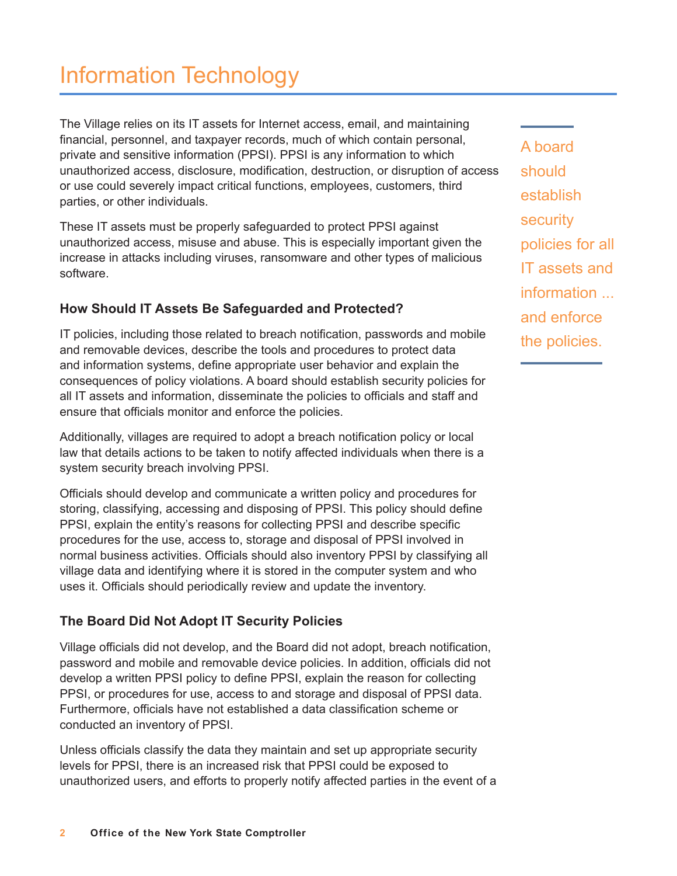The Village relies on its IT assets for Internet access, email, and maintaining financial, personnel, and taxpayer records, much of which contain personal, private and sensitive information (PPSI). PPSI is any information to which unauthorized access, disclosure, modification, destruction, or disruption of access or use could severely impact critical functions, employees, customers, third parties, or other individuals.

These IT assets must be properly safeguarded to protect PPSI against unauthorized access, misuse and abuse. This is especially important given the increase in attacks including viruses, ransomware and other types of malicious software.

## **How Should IT Assets Be Safeguarded and Protected?**

IT policies, including those related to breach notification, passwords and mobile and removable devices, describe the tools and procedures to protect data and information systems, define appropriate user behavior and explain the consequences of policy violations. A board should establish security policies for all IT assets and information, disseminate the policies to officials and staff and ensure that officials monitor and enforce the policies.

Additionally, villages are required to adopt a breach notification policy or local law that details actions to be taken to notify affected individuals when there is a system security breach involving PPSI.

Officials should develop and communicate a written policy and procedures for storing, classifying, accessing and disposing of PPSI. This policy should define PPSI, explain the entity's reasons for collecting PPSI and describe specific procedures for the use, access to, storage and disposal of PPSI involved in normal business activities. Officials should also inventory PPSI by classifying all village data and identifying where it is stored in the computer system and who uses it. Officials should periodically review and update the inventory.

## **The Board Did Not Adopt IT Security Policies**

Village officials did not develop, and the Board did not adopt, breach notification, password and mobile and removable device policies. In addition, officials did not develop a written PPSI policy to define PPSI, explain the reason for collecting PPSI, or procedures for use, access to and storage and disposal of PPSI data. Furthermore, officials have not established a data classification scheme or conducted an inventory of PPSI.

Unless officials classify the data they maintain and set up appropriate security levels for PPSI, there is an increased risk that PPSI could be exposed to unauthorized users, and efforts to properly notify affected parties in the event of a A board should establish security policies for all IT assets and information ... and enforce the policies.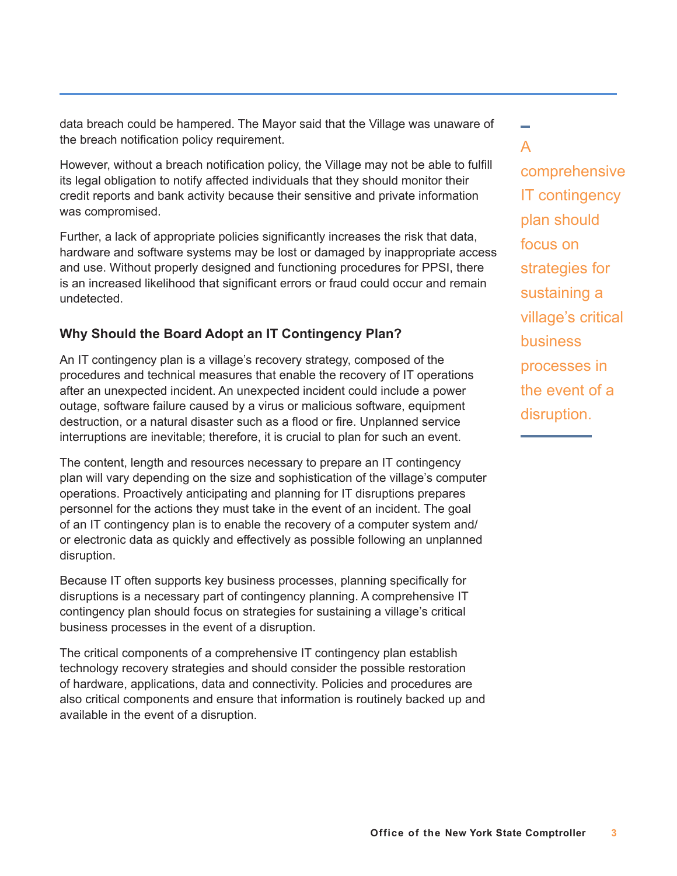data breach could be hampered. The Mayor said that the Village was unaware of the breach notification policy requirement.

However, without a breach notification policy, the Village may not be able to fulfill its legal obligation to notify affected individuals that they should monitor their credit reports and bank activity because their sensitive and private information was compromised.

Further, a lack of appropriate policies significantly increases the risk that data, hardware and software systems may be lost or damaged by inappropriate access and use. Without properly designed and functioning procedures for PPSI, there is an increased likelihood that significant errors or fraud could occur and remain undetected.

## **Why Should the Board Adopt an IT Contingency Plan?**

An IT contingency plan is a village's recovery strategy, composed of the procedures and technical measures that enable the recovery of IT operations after an unexpected incident. An unexpected incident could include a power outage, software failure caused by a virus or malicious software, equipment destruction, or a natural disaster such as a flood or fire. Unplanned service interruptions are inevitable; therefore, it is crucial to plan for such an event.

The content, length and resources necessary to prepare an IT contingency plan will vary depending on the size and sophistication of the village's computer operations. Proactively anticipating and planning for IT disruptions prepares personnel for the actions they must take in the event of an incident. The goal of an IT contingency plan is to enable the recovery of a computer system and/ or electronic data as quickly and effectively as possible following an unplanned disruption.

Because IT often supports key business processes, planning specifically for disruptions is a necessary part of contingency planning. A comprehensive IT contingency plan should focus on strategies for sustaining a village's critical business processes in the event of a disruption.

The critical components of a comprehensive IT contingency plan establish technology recovery strategies and should consider the possible restoration of hardware, applications, data and connectivity. Policies and procedures are also critical components and ensure that information is routinely backed up and available in the event of a disruption.

A comprehensive IT contingency plan should focus on strategies for sustaining a village's critical business processes in the event of a disruption.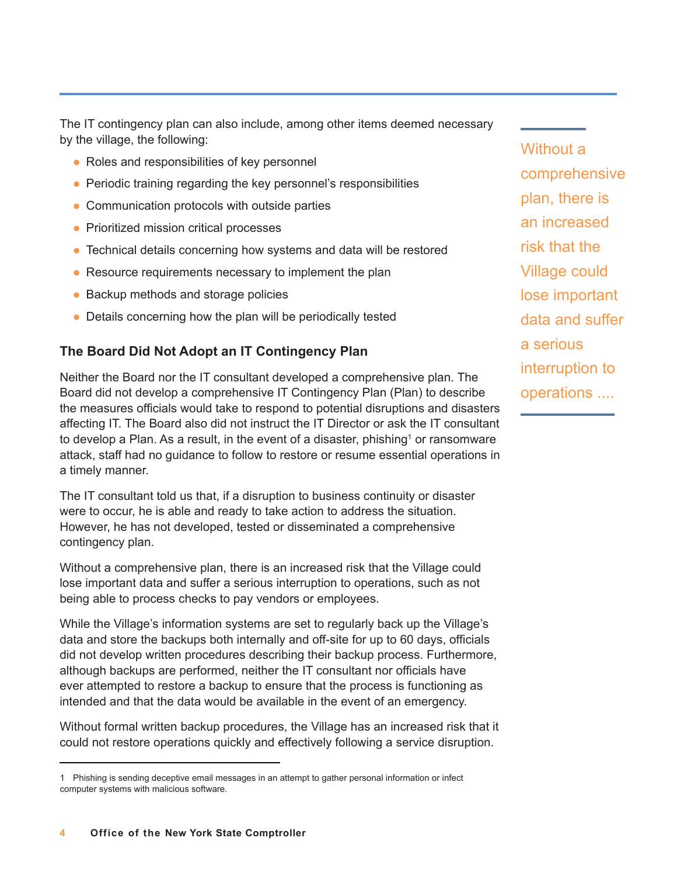The IT contingency plan can also include, among other items deemed necessary by the village, the following:

- Roles and responsibilities of key personnel
- Periodic training regarding the key personnel's responsibilities
- Communication protocols with outside parties
- **Prioritized mission critical processes**
- Technical details concerning how systems and data will be restored
- Resource requirements necessary to implement the plan
- Backup methods and storage policies
- $\bullet$  Details concerning how the plan will be periodically tested

### **The Board Did Not Adopt an IT Contingency Plan**

Neither the Board nor the IT consultant developed a comprehensive plan. The Board did not develop a comprehensive IT Contingency Plan (Plan) to describe the measures officials would take to respond to potential disruptions and disasters affecting IT. The Board also did not instruct the IT Director or ask the IT consultant to develop a Plan. As a result, in the event of a disaster, phishing $^{\rm 1}$  or ransomware attack, staff had no guidance to follow to restore or resume essential operations in a timely manner.

The IT consultant told us that, if a disruption to business continuity or disaster were to occur, he is able and ready to take action to address the situation. However, he has not developed, tested or disseminated a comprehensive contingency plan.

Without a comprehensive plan, there is an increased risk that the Village could lose important data and suffer a serious interruption to operations, such as not being able to process checks to pay vendors or employees.

While the Village's information systems are set to regularly back up the Village's data and store the backups both internally and off-site for up to 60 days, officials did not develop written procedures describing their backup process. Furthermore, although backups are performed, neither the IT consultant nor officials have ever attempted to restore a backup to ensure that the process is functioning as intended and that the data would be available in the event of an emergency.

Without formal written backup procedures, the Village has an increased risk that it could not restore operations quickly and effectively following a service disruption.

Without a comprehensive plan, there is an increased risk that the Village could lose important data and suffer a serious interruption to operations ....

<sup>1</sup> Phishing is sending deceptive email messages in an attempt to gather personal information or infect computer systems with malicious software.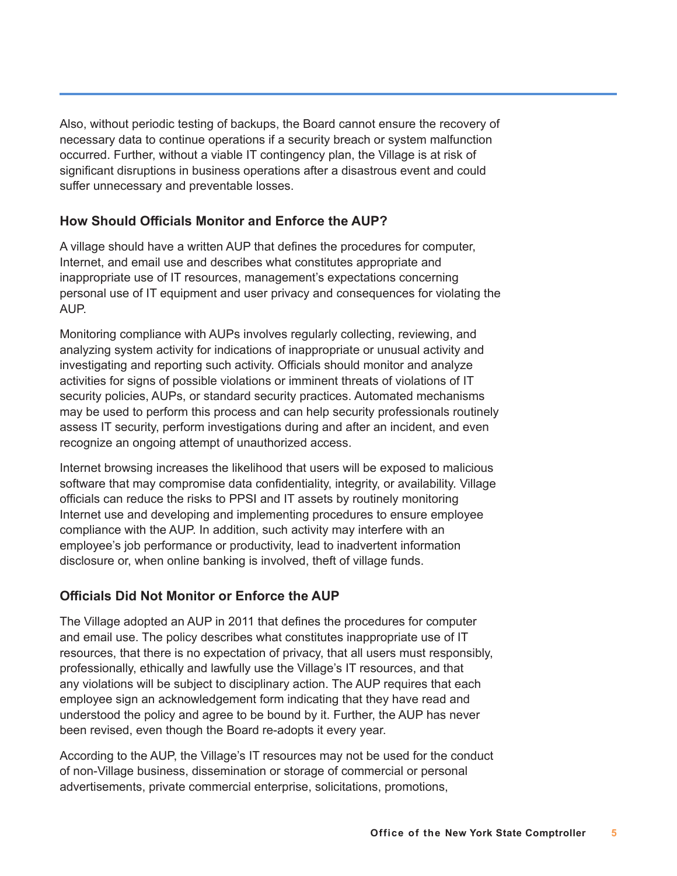Also, without periodic testing of backups, the Board cannot ensure the recovery of necessary data to continue operations if a security breach or system malfunction occurred. Further, without a viable IT contingency plan, the Village is at risk of significant disruptions in business operations after a disastrous event and could suffer unnecessary and preventable losses.

### **How Should Officials Monitor and Enforce the AUP?**

A village should have a written AUP that defines the procedures for computer, Internet, and email use and describes what constitutes appropriate and inappropriate use of IT resources, management's expectations concerning personal use of IT equipment and user privacy and consequences for violating the AUP.

Monitoring compliance with AUPs involves regularly collecting, reviewing, and analyzing system activity for indications of inappropriate or unusual activity and investigating and reporting such activity. Officials should monitor and analyze activities for signs of possible violations or imminent threats of violations of IT security policies, AUPs, or standard security practices. Automated mechanisms may be used to perform this process and can help security professionals routinely assess IT security, perform investigations during and after an incident, and even recognize an ongoing attempt of unauthorized access.

Internet browsing increases the likelihood that users will be exposed to malicious software that may compromise data confidentiality, integrity, or availability. Village officials can reduce the risks to PPSI and IT assets by routinely monitoring Internet use and developing and implementing procedures to ensure employee compliance with the AUP. In addition, such activity may interfere with an employee's job performance or productivity, lead to inadvertent information disclosure or, when online banking is involved, theft of village funds.

## **Officials Did Not Monitor or Enforce the AUP**

The Village adopted an AUP in 2011 that defines the procedures for computer and email use. The policy describes what constitutes inappropriate use of IT resources, that there is no expectation of privacy, that all users must responsibly, professionally, ethically and lawfully use the Village's IT resources, and that any violations will be subject to disciplinary action. The AUP requires that each employee sign an acknowledgement form indicating that they have read and understood the policy and agree to be bound by it. Further, the AUP has never been revised, even though the Board re-adopts it every year.

According to the AUP, the Village's IT resources may not be used for the conduct of non-Village business, dissemination or storage of commercial or personal advertisements, private commercial enterprise, solicitations, promotions,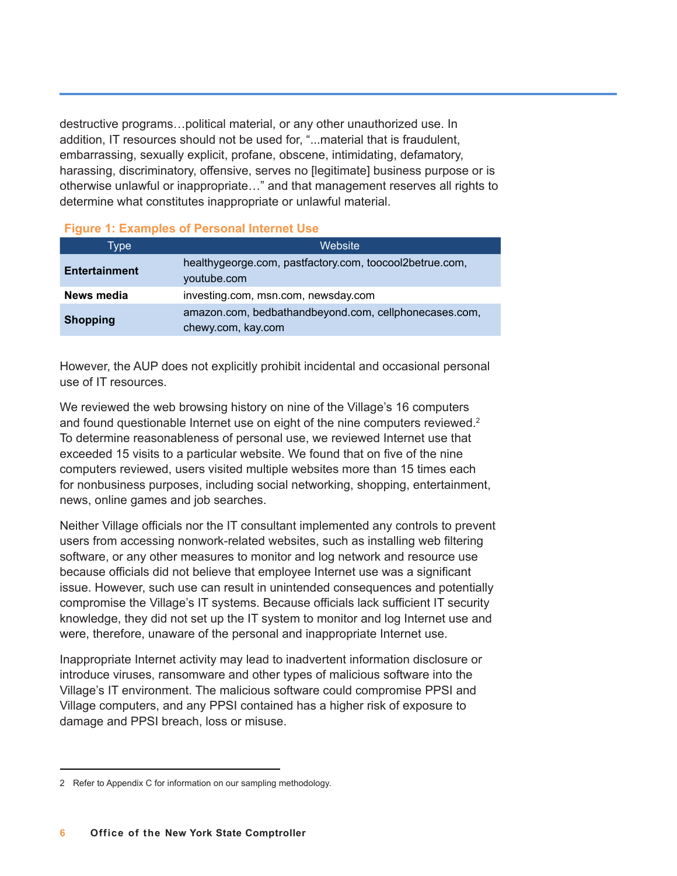destructive programs…political material, or any other unauthorized use. In addition, IT resources should not be used for, "...material that is fraudulent, embarrassing, sexually explicit, profane, obscene, intimidating, defamatory, harassing, discriminatory, offensive, serves no [legitimate] business purpose or is otherwise unlawful or inappropriate…" and that management reserves all rights to determine what constitutes inappropriate or unlawful material.

#### **Figure 1: Examples of Personal Internet Use**

| Type'                | Website                                                                     |
|----------------------|-----------------------------------------------------------------------------|
| <b>Entertainment</b> | healthygeorge.com, pastfactory.com, toocool2betrue.com,<br>youtube.com      |
| News media           | investing.com, msn.com, newsday.com                                         |
| <b>Shopping</b>      | amazon.com, bedbathandbeyond.com, cellphonecases.com,<br>chewy.com, kay.com |

However, the AUP does not explicitly prohibit incidental and occasional personal use of IT resources.

We reviewed the web browsing history on nine of the Village's 16 computers and found questionable Internet use on eight of the nine computers reviewed.<sup>2</sup> To determine reasonableness of personal use, we reviewed Internet use that exceeded 15 visits to a particular website. We found that on five of the nine computers reviewed, users visited multiple websites more than 15 times each for nonbusiness purposes, including social networking, shopping, entertainment, news, online games and job searches.

Neither Village officials nor the IT consultant implemented any controls to prevent users from accessing nonwork-related websites, such as installing web filtering software, or any other measures to monitor and log network and resource use because officials did not believe that employee Internet use was a significant issue. However, such use can result in unintended consequences and potentially compromise the Village's IT systems. Because officials lack sufficient IT security knowledge, they did not set up the IT system to monitor and log Internet use and were, therefore, unaware of the personal and inappropriate Internet use.

Inappropriate Internet activity may lead to inadvertent information disclosure or introduce viruses, ransomware and other types of malicious software into the Village's IT environment. The malicious software could compromise PPSI and Village computers, and any PPSI contained has a higher risk of exposure to damage and PPSI breach, loss or misuse.

<sup>2</sup> Refer to Appendix C for information on our sampling methodology.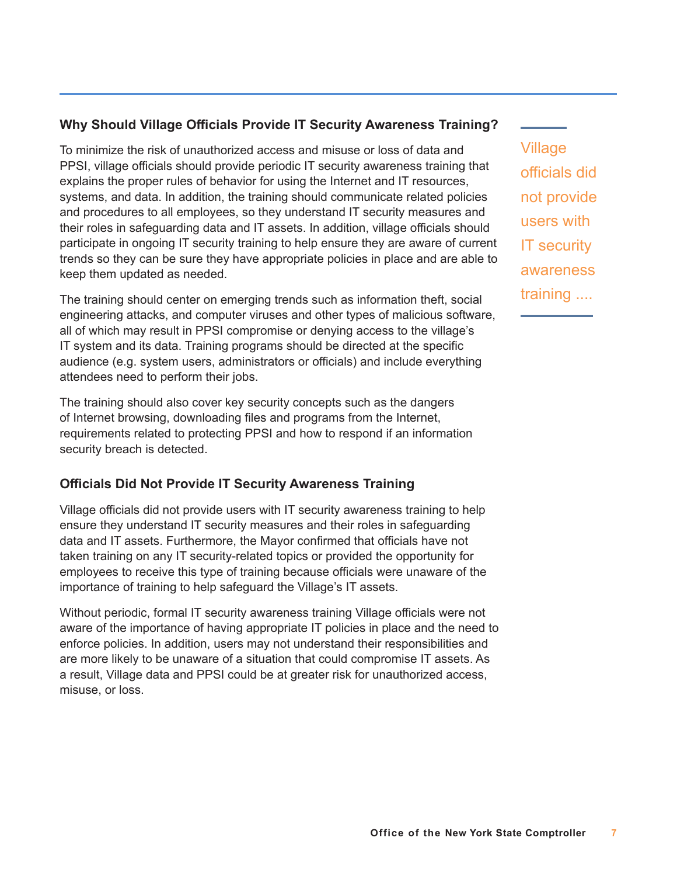### **Why Should Village Officials Provide IT Security Awareness Training?**

To minimize the risk of unauthorized access and misuse or loss of data and PPSI, village officials should provide periodic IT security awareness training that explains the proper rules of behavior for using the Internet and IT resources, systems, and data. In addition, the training should communicate related policies and procedures to all employees, so they understand IT security measures and their roles in safeguarding data and IT assets. In addition, village officials should participate in ongoing IT security training to help ensure they are aware of current trends so they can be sure they have appropriate policies in place and are able to keep them updated as needed.

The training should center on emerging trends such as information theft, social engineering attacks, and computer viruses and other types of malicious software, all of which may result in PPSI compromise or denying access to the village's IT system and its data. Training programs should be directed at the specific audience (e.g. system users, administrators or officials) and include everything attendees need to perform their jobs.

The training should also cover key security concepts such as the dangers of Internet browsing, downloading files and programs from the Internet, requirements related to protecting PPSI and how to respond if an information security breach is detected.

#### **Officials Did Not Provide IT Security Awareness Training**

Village officials did not provide users with IT security awareness training to help ensure they understand IT security measures and their roles in safeguarding data and IT assets. Furthermore, the Mayor confirmed that officials have not taken training on any IT security-related topics or provided the opportunity for employees to receive this type of training because officials were unaware of the importance of training to help safeguard the Village's IT assets.

Without periodic, formal IT security awareness training Village officials were not aware of the importance of having appropriate IT policies in place and the need to enforce policies. In addition, users may not understand their responsibilities and are more likely to be unaware of a situation that could compromise IT assets. As a result, Village data and PPSI could be at greater risk for unauthorized access, misuse, or loss.

Village officials did not provide users with IT security awareness training ....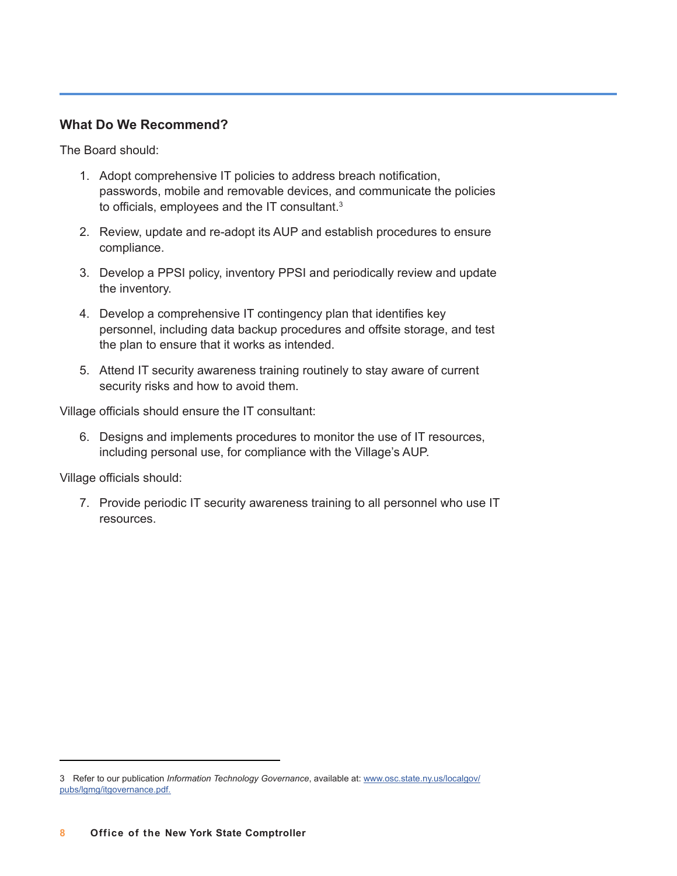#### **What Do We Recommend?**

The Board should:

- 1. Adopt comprehensive IT policies to address breach notification, passwords, mobile and removable devices, and communicate the policies to officials, employees and the IT consultant. $3$
- 2. Review, update and re-adopt its AUP and establish procedures to ensure compliance.
- 3. Develop a PPSI policy, inventory PPSI and periodically review and update the inventory.
- 4. Develop a comprehensive IT contingency plan that identifies key personnel, including data backup procedures and offsite storage, and test the plan to ensure that it works as intended.
- 5. Attend IT security awareness training routinely to stay aware of current security risks and how to avoid them.

Village officials should ensure the IT consultant:

6. Designs and implements procedures to monitor the use of IT resources, including personal use, for compliance with the Village's AUP.

Village officials should:

7. Provide periodic IT security awareness training to all personnel who use IT resources.

<sup>3</sup> Refer to our publication *Information Technology Governance*[, available at: www.osc.state.ny.us/localgov/](https://www.osc.state.ny.us/files/local-government/publications/pdf/itgovernance.pdf) pubs/lgmg/itgovernance.pdf.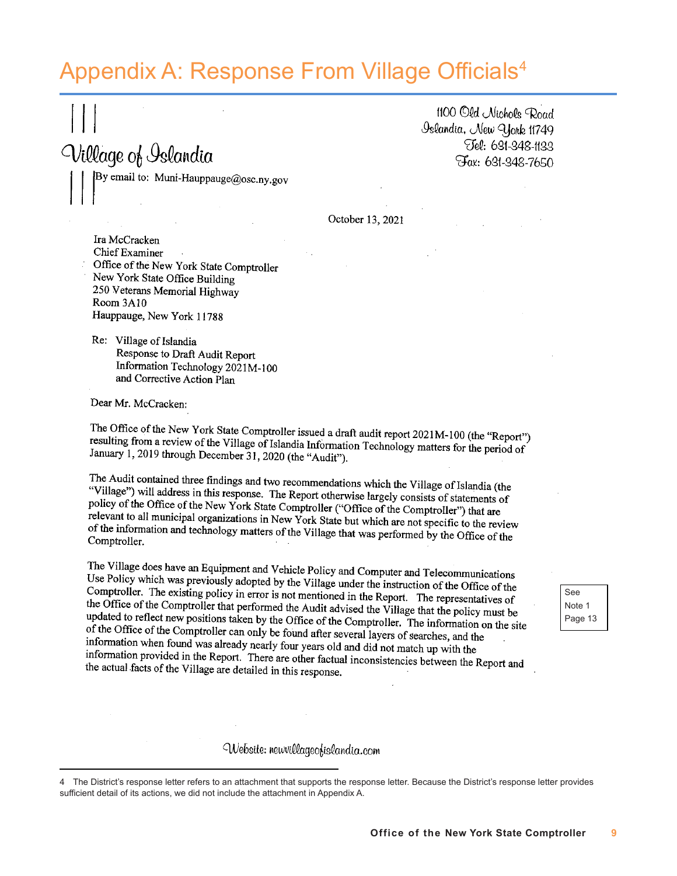## Appendix A: Response From Village Officials<sup>4</sup>

1100 Old Nichols Road Oslandia, New York 11749 Tel: 631-348-1133 Fax: 631-348-7650

October 13, 2021

Ira McCracken **Chief Examiner** Office of the New York State Comptroller New York State Office Building 250 Veterans Memorial Highway Room 3A10 Hauppauge, New York 11788

By email to: Muni-Hauppauge@osc.ny.gov

Re: Village of Islandia Response to Draft Audit Report Information Technology 2021M-100 and Corrective Action Plan

Dear Mr. McCracken:

Village of Islandia

The Office of the New York State Comptroller issued a draft audit report 2021M-100 (the "Report") resulting from a review of the Village of Islandia Information Technology matters for the period of<br>January 1, 2019 through December 31, 2009 (the "Report") January 1, 2019 through December 31, 2020 (the "Audit").

The Audit contained three findings and two recommendations which the Village of Islandia (the "Village") will address in this age with  $\sum_{n=1}^{\infty}$ "Village") will address in this response. The Report otherwise largely consists of statements of<br>policy of the Office of the Nau York. The Report otherwise largely consists of statements of policy of the Office of the New York State Comptroller ("Office of the Comptroller") that are<br>relevant to all municipal apparential relevant to all municipal organizations in New York State but which are not specific to the review<br>of the information and technology in New York State but which are not specific to the review of the information and technology matters of the Village that was performed by the Office of the<br>Comptroller Comptroller.

The Village does have an Equipment and Vehicle Policy and Computer and Telecommunications Use Policy which was previously adopted by the Village under the instruction of the Office of the<br>Comptroller. The existing policy is adopted by the Village under the instruction of the Office of the Comptroller. The existing policy in error is not mentioned in the Report. The representatives of<br>the Office of the Comptroller in error is not mentioned in the Report. The representatives of the Office of the Comptour and the Hoffice of the Comptour need the Audit advised the Village that the policy must be<br>undated to reflect new nonitions then bush here heard the Audit advised the Village that the policy must updated to reflect new positions taken by the Office of the Comptroller. The information on the site<br>of the Office of the Comptroller can call the finite of the Comptroller. The information on the site of the Office of the Comptroller can only be found after several layers of searches, and the<br>information when found up a length of the Comptroller can only be found after several layers of searches, and the information when found was already nearly four years old and did not match up with the<br>information provided in the Bound Was already nearly four years old and did not match up with the information provided in the Report. There are other factual inconsistencies between the Report and<br>the actual facts of the Village are distributed in the term of the section of the Neport and the actual facts of the Village are detailed in this response.

Website: neuvillageofislandia.com

4 The District's response letter refers to an attachment that supports the response letter. Because the District's response letter provides sufficient detail of its actions, we did not include the attachment in Appendix A.

See Note 1 Page 13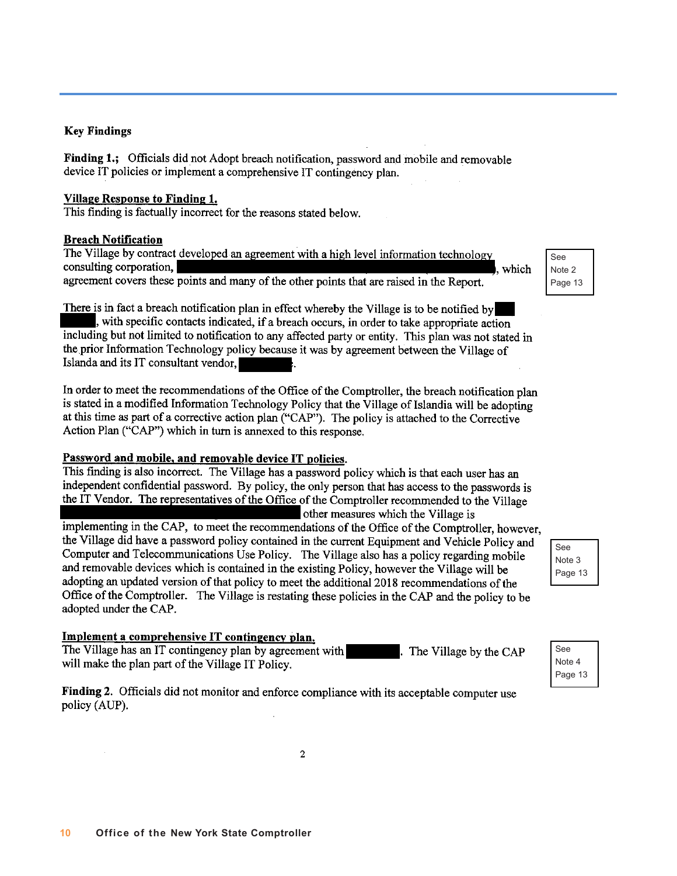#### **Key Findings**

Finding 1.; Officials did not Adopt breach notification, password and mobile and removable device IT policies or implement a comprehensive IT contingency plan.

#### **Village Response to Finding 1.**

This finding is factually incorrect for the reasons stated below.

#### **Breach Notification**

The Village by contract developed an agreement with a high level information technology consulting corporation, , which agreement covers these points and many of the other points that are raised in the Report.

There is in fact a breach notification plan in effect whereby the Village is to be notified by , with specific contacts indicated, if a breach occurs, in order to take appropriate action including but not limited to notification to any affected party or entity. This plan was not stated in the prior Information Technology policy because it was by agreement between the Village of Islanda and its IT consultant vendor,

In order to meet the recommendations of the Office of the Comptroller, the breach notification plan is stated in a modified Information Technology Policy that the Village of Islandia will be adopting at this time as part of a corrective action plan ("CAP"). The policy is attached to the Corrective Action Plan ("CAP") which in turn is annexed to this response.

#### Password and mobile, and removable device IT policies.

This finding is also incorrect. The Village has a password policy which is that each user has an independent confidential password. By policy, the only person that has access to the passwords is the IT Vendor. The representatives of the Office of the Comptroller recommended to the Village other measures which the Village is implementing in the CAP, to meet the recommendations of the Office of the Comptroller, however, the Village did have a password policy contained in the current Equipment and Vehicle Policy and Computer and Telecommunications Use Policy. The Village also has a policy regarding mobile and removable devices which is contained in the existing Policy, however the Village will be adopting an updated version of that policy to meet the additional 2018 recommendations of the Office of the Comptroller. The Village is restating these policies in the CAP and the policy to be adopted under the CAP.

Implement a comprehensive IT contingency plan.

The Village has an IT contingency plan by agreement with will make the plan part of the Village IT Policy.

Finding 2. Officials did not monitor and enforce compliance with its acceptable computer use policy (AUP).

See Note 2 Page 13

> See Note 3 Page 13

See Note 4 Page 13

. The Village by the CAP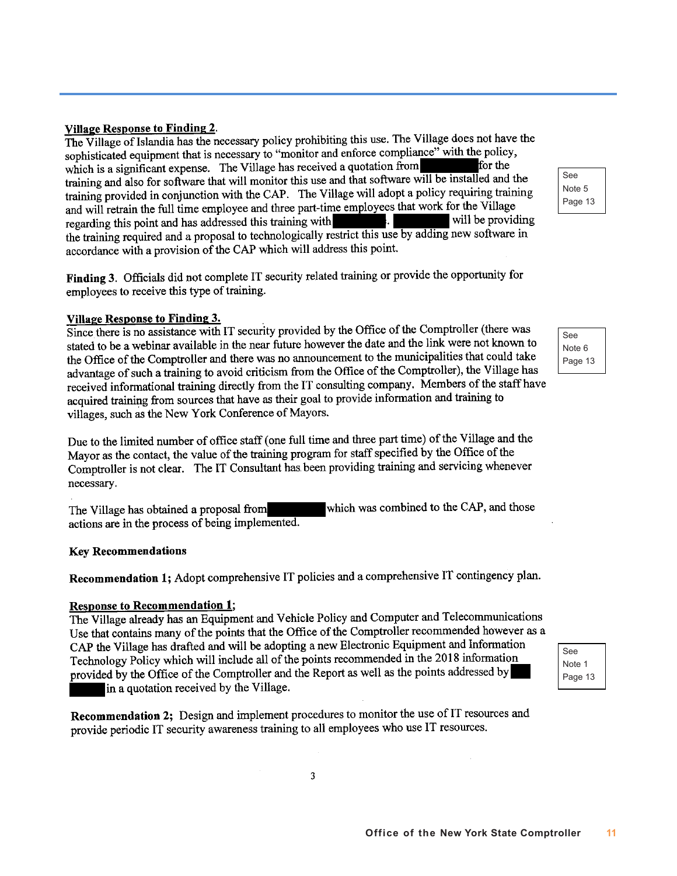Village Response to Finding 2.

The Village of Islandia has the necessary policy prohibiting this use. The Village does not have the sophisticated equipment that is necessary to "monitor and enforce compliance" with the policy, for the which is a significant expense. The Village has received a quotation from training and also for software that will monitor this use and that software will be installed and the training and also for software that will moment also also also that the vertical apolicy requiring training<br>training provided in conjunction with the CAP. The Village will adopt a policy requiring training and will retrain the full time employee and three part-time employees that work for the Village will be providing regarding this point and has addressed this training with the training required and a proposal to technologically restrict this use by adding new software in accordance with a provision of the CAP which will address this point.

Finding 3. Officials did not complete IT security related training or provide the opportunity for employees to receive this type of training.

#### **Village Response to Finding 3.**

Since there is no assistance with IT security provided by the Office of the Comptroller (there was stated to be a webinar available in the near future however the date and the link were not known to the Office of the Comptroller and there was no announcement to the municipalities that could take advantage of such a training to avoid criticism from the Office of the Comptroller), the Village has received informational training directly from the IT consulting company. Members of the staff have acquired training from sources that have as their goal to provide information and training to villages, such as the New York Conference of Mayors.

Due to the limited number of office staff (one full time and three part time) of the Village and the Mayor as the contact, the value of the training program for staff specified by the Office of the Comptroller is not clear. The IT Consultant has been providing training and servicing whenever necessary.

which was combined to the CAP, and those The Village has obtained a proposal from actions are in the process of being implemented.

#### **Key Recommendations**

Recommendation 1; Adopt comprehensive IT policies and a comprehensive IT contingency plan.

#### **Response to Recommendation 1;**

The Village already has an Equipment and Vehicle Policy and Computer and Telecommunications Use that contains many of the points that the Office of the Comptroller recommended however as a CAP the Village has drafted and will be adopting a new Electronic Equipment and Information Technology Policy which will include all of the points recommended in the 2018 information provided by the Office of the Comptroller and the Report as well as the points addressed by in a quotation received by the Village.

Recommendation 2; Design and implement procedures to monitor the use of IT resources and provide periodic IT security awareness training to all employees who use IT resources.

See Note 5 Page 13

> See Note 6 Page 13

See Note 1 Page 13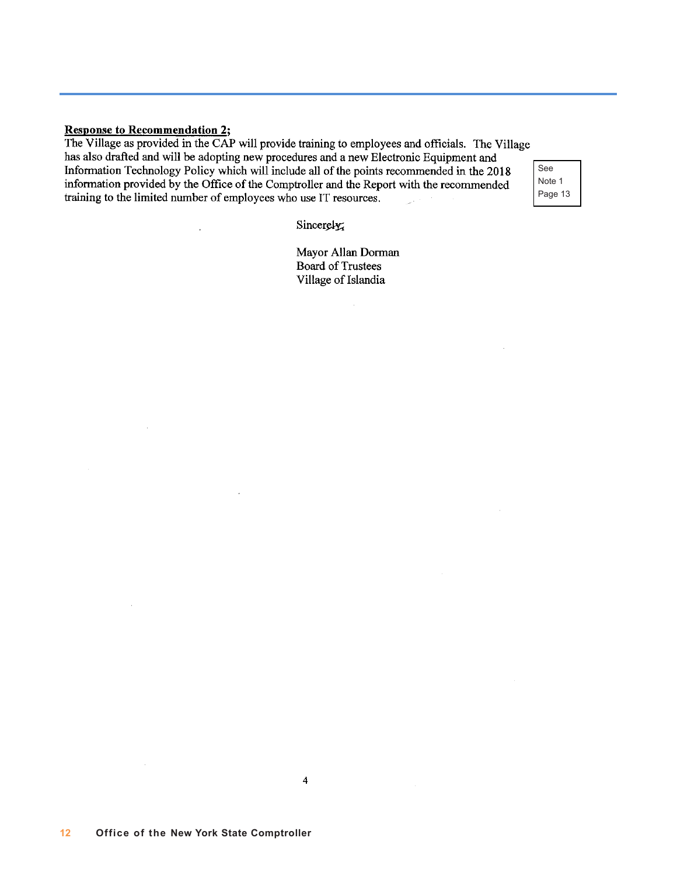#### **Response to Recommendation 2;**

 $\bar{z}$ 

The Village as provided in the CAP will provide training to employees and officials. The Village has also drafted and will be adopting new procedures and a new Electronic Equipment and Information Technology Policy which will include all of the points recommended in the 2018 information provided by the Office of the Comptroller and the Report with the recommended training to the limited number of employees who use IT resources.  $\label{eq:1} \frac{1}{\sqrt{2\pi}\epsilon^2}\int_{-\infty}^{\infty} \frac{1}{\sqrt{2\pi}}\,d\mu\,d\mu\,.$  $\sim$   $\sim$ 

See Note 1 Page 13

Sincerely,

Mayor Allan Dorman **Board of Trustees** Village of Islandia

 $\overline{4}$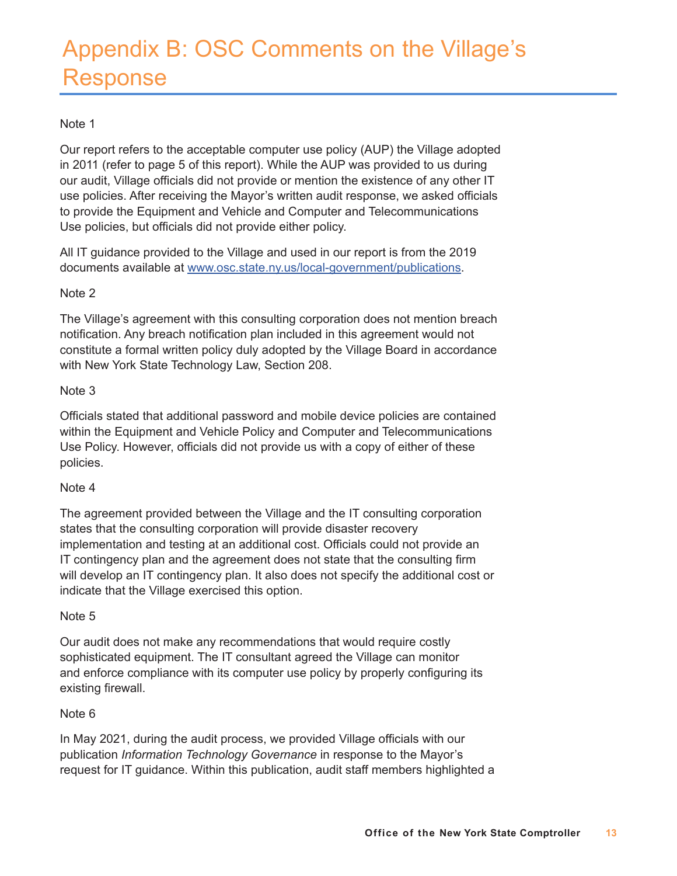## Appendix B: OSC Comments on the Village's Response

#### Note 1

Our report refers to the acceptable computer use policy (AUP) the Village adopted in 2011 (refer to page 5 of this report). While the AUP was provided to us during our audit, Village officials did not provide or mention the existence of any other IT use policies. After receiving the Mayor's written audit response, we asked officials to provide the Equipment and Vehicle and Computer and Telecommunications Use policies, but officials did not provide either policy.

All IT guidance provided to the Village and used in our report is from the 2019 documents available at [www.osc.state.ny.us/local-government/publications](http://www.osc.state.ny.us/local-government/publications).

#### Note 2

The Village's agreement with this consulting corporation does not mention breach notification. Any breach notification plan included in this agreement would not constitute a formal written policy duly adopted by the Village Board in accordance with New York State Technology Law, Section 208.

#### Note 3

Officials stated that additional password and mobile device policies are contained within the Equipment and Vehicle Policy and Computer and Telecommunications Use Policy. However, officials did not provide us with a copy of either of these policies.

#### Note 4

The agreement provided between the Village and the IT consulting corporation states that the consulting corporation will provide disaster recovery implementation and testing at an additional cost. Officials could not provide an IT contingency plan and the agreement does not state that the consulting firm will develop an IT contingency plan. It also does not specify the additional cost or indicate that the Village exercised this option.

#### Note 5

Our audit does not make any recommendations that would require costly sophisticated equipment. The IT consultant agreed the Village can monitor and enforce compliance with its computer use policy by properly configuring its existing firewall.

#### Note 6

In May 2021, during the audit process, we provided Village officials with our publication *Information Technology Governance* in response to the Mayor's request for IT guidance. Within this publication, audit staff members highlighted a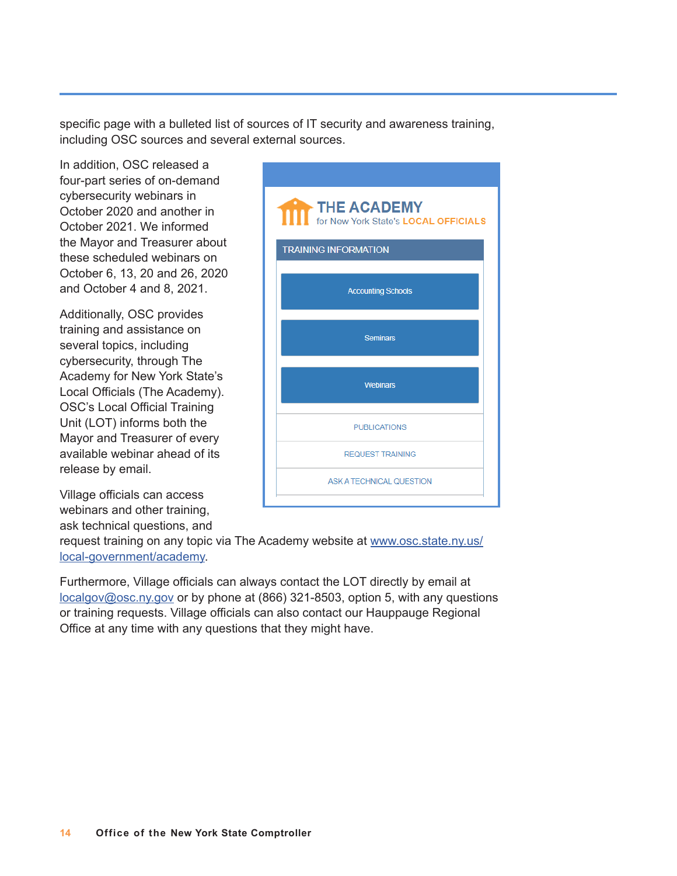specific page with a bulleted list of sources of IT security and awareness training, including OSC sources and several external sources.

In addition, OSC released a four-part series of on-demand cybersecurity webinars in October 2020 and another in October 2021. We informed the Mayor and Treasurer about these scheduled webinars on October 6, 13, 20 and 26, 2020 and October 4 and 8, 2021.

Additionally, OSC provides training and assistance on several topics, including cybersecurity, through The Academy for New York State's Local Officials (The Academy). OSC's Local Official Training Unit (LOT) informs both the Mayor and Treasurer of every available webinar ahead of its release by email.

Village officials can access webinars and other training,

ask technical questions, and

request training on any topic via The Academy website at [www.osc.state.ny.us/](http://www.osc.state.ny.us/local-government/academy) [local-government/academy](http://www.osc.state.ny.us/local-government/academy).

Furthermore, Village officials can always contact the LOT directly by email at <localgov@osc.ny.gov> or by phone at (866) 321-8503, option 5, with any questions or training requests. Village officials can also contact our Hauppauge Regional Office at any time with any questions that they might have.

| THE ACADEMY<br>for New York State's LOCAL OFFICIALS |
|-----------------------------------------------------|
| <b>TRAINING INFORMATION</b>                         |
| <b>Accounting Schools</b>                           |
| <b>Seminars</b>                                     |
| <b>Webinars</b>                                     |
| <b>PUBLICATIONS</b>                                 |
| <b>REQUEST TRAINING</b>                             |
| ASK A TECHNICAL QUESTION                            |
|                                                     |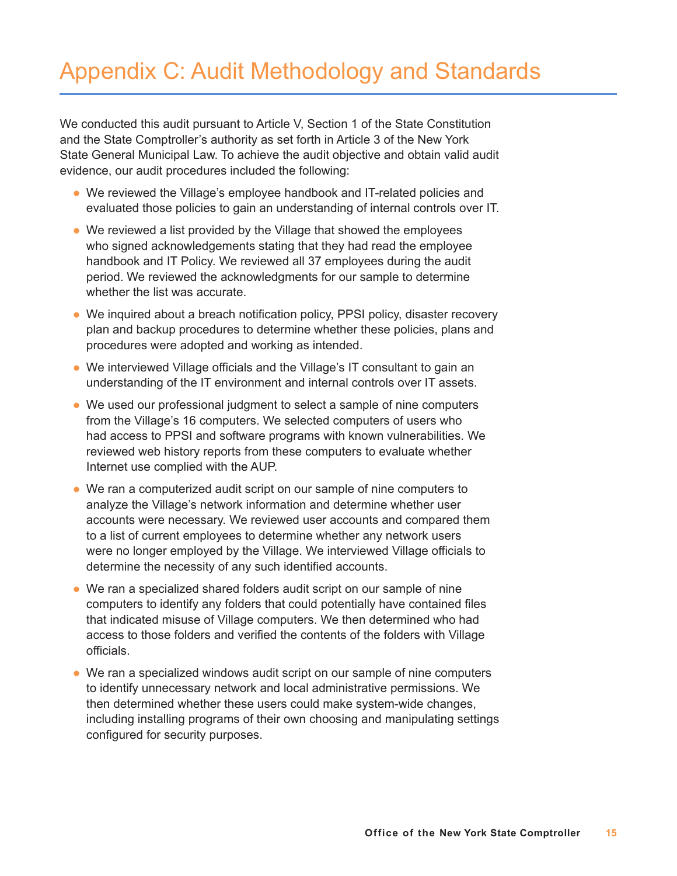## Appendix C: Audit Methodology and Standards

We conducted this audit pursuant to Article V, Section 1 of the State Constitution and the State Comptroller's authority as set forth in Article 3 of the New York State General Municipal Law. To achieve the audit objective and obtain valid audit evidence, our audit procedures included the following:

- We reviewed the Village's employee handbook and IT-related policies and evaluated those policies to gain an understanding of internal controls over IT.
- We reviewed a list provided by the Village that showed the employees who signed acknowledgements stating that they had read the employee handbook and IT Policy. We reviewed all 37 employees during the audit period. We reviewed the acknowledgments for our sample to determine whether the list was accurate.
- We inquired about a breach notification policy, PPSI policy, disaster recovery plan and backup procedures to determine whether these policies, plans and procedures were adopted and working as intended.
- We interviewed Village officials and the Village's IT consultant to gain an understanding of the IT environment and internal controls over IT assets.
- We used our professional judgment to select a sample of nine computers from the Village's 16 computers. We selected computers of users who had access to PPSI and software programs with known vulnerabilities. We reviewed web history reports from these computers to evaluate whether Internet use complied with the AUP.
- We ran a computerized audit script on our sample of nine computers to analyze the Village's network information and determine whether user accounts were necessary. We reviewed user accounts and compared them to a list of current employees to determine whether any network users were no longer employed by the Village. We interviewed Village officials to determine the necessity of any such identified accounts.
- We ran a specialized shared folders audit script on our sample of nine computers to identify any folders that could potentially have contained files that indicated misuse of Village computers. We then determined who had access to those folders and verified the contents of the folders with Village officials.
- We ran a specialized windows audit script on our sample of nine computers to identify unnecessary network and local administrative permissions. We then determined whether these users could make system-wide changes, including installing programs of their own choosing and manipulating settings configured for security purposes.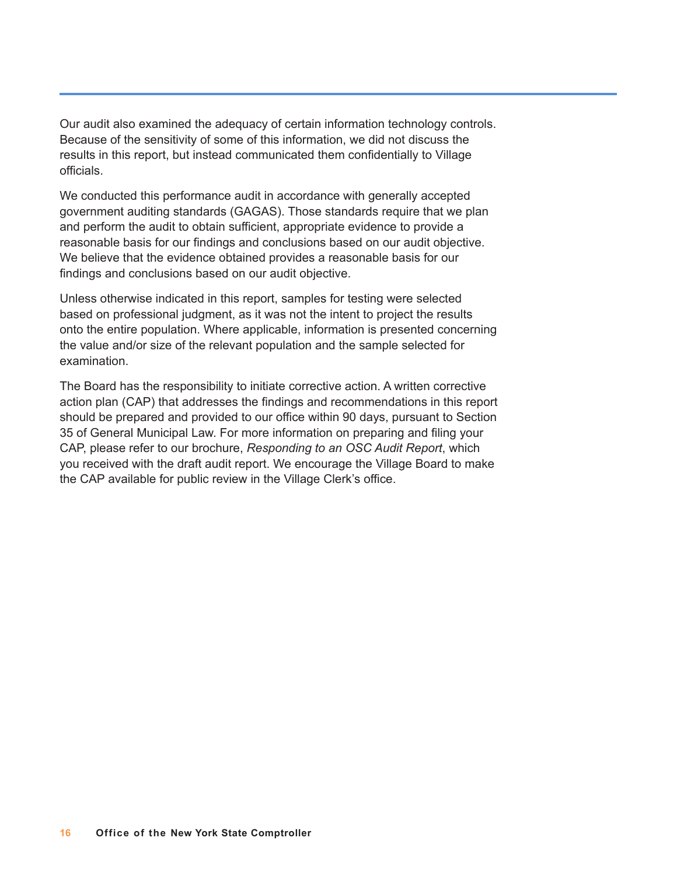Our audit also examined the adequacy of certain information technology controls. Because of the sensitivity of some of this information, we did not discuss the results in this report, but instead communicated them confidentially to Village officials.

We conducted this performance audit in accordance with generally accepted government auditing standards (GAGAS). Those standards require that we plan and perform the audit to obtain sufficient, appropriate evidence to provide a reasonable basis for our findings and conclusions based on our audit objective. We believe that the evidence obtained provides a reasonable basis for our findings and conclusions based on our audit objective.

Unless otherwise indicated in this report, samples for testing were selected based on professional judgment, as it was not the intent to project the results onto the entire population. Where applicable, information is presented concerning the value and/or size of the relevant population and the sample selected for examination.

The Board has the responsibility to initiate corrective action. A written corrective action plan (CAP) that addresses the findings and recommendations in this report should be prepared and provided to our office within 90 days, pursuant to Section 35 of General Municipal Law. For more information on preparing and filing your CAP, please refer to our brochure, *Responding to an OSC Audit Report*, which you received with the draft audit report. We encourage the Village Board to make the CAP available for public review in the Village Clerk's office.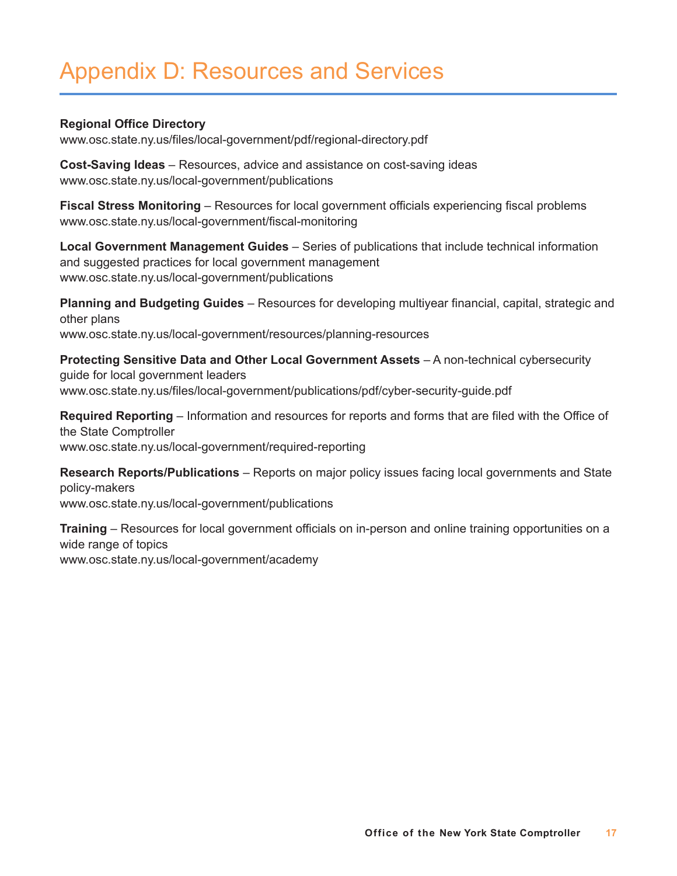## Appendix D: Resources and Services

#### **Regional Office Directory**

[www.osc.state.ny.us/files/local-government/pdf/regional-directory.pdf](http://www.osc.state.ny.us/files/local-government/pdf/regional-directory.pdf)

**Cost-Saving Ideas** – Resources, advice and assistance on cost-saving ideas [www.osc.state.ny.us/local-government/publications](http://www.osc.state.ny.us/local-government/publications)

**Fiscal Stress Monitoring** – Resources for local government officials experiencing fiscal problems [www.osc.state.ny.us/local-government/fiscal-monitoring](http://www.osc.state.ny.us/local-government/fiscal-monitoring)

**Local Government Management Guides** – Series of publications that include technical information and suggested practices for local government management [www.osc.state.ny.us/local-government/publications](http://www.osc.state.ny.us/local-government/publications)

**Planning and Budgeting Guides** – Resources for developing multiyear financial, capital, strategic and other plans [www.osc.state.ny.us/local-government/resources/planning-resources](http://www.osc.state.ny.us/local-government/resources/planning-resources)

**Protecting Sensitive Data and Other Local Government Assets** – A non-technical cybersecurity guide for local government leaders [www.osc.state.ny.us/files/local-government/publications/pdf/cyber-security-guide.pdf](http://www.osc.state.ny.us/files/local-government/publications/pdf/cyber-security-guide.pdf)

**Required Reporting** – Information and resources for reports and forms that are filed with the Office of the State Comptroller [www.osc.state.ny.us/local-government/required-reporting](http://www.osc.state.ny.us/local-government/required-reporting)

**Research Reports/Publications** – Reports on major policy issues facing local governments and State policy-makers

[www.osc.state.ny.us/local-government/publications](http://www.osc.state.ny.us/local-government/publications)

**Training** – Resources for local government officials on in-person and online training opportunities on a wide range of topics [www.osc.state.ny.us/local-government/academy](http://www.osc.state.ny.us/local-government/academy)